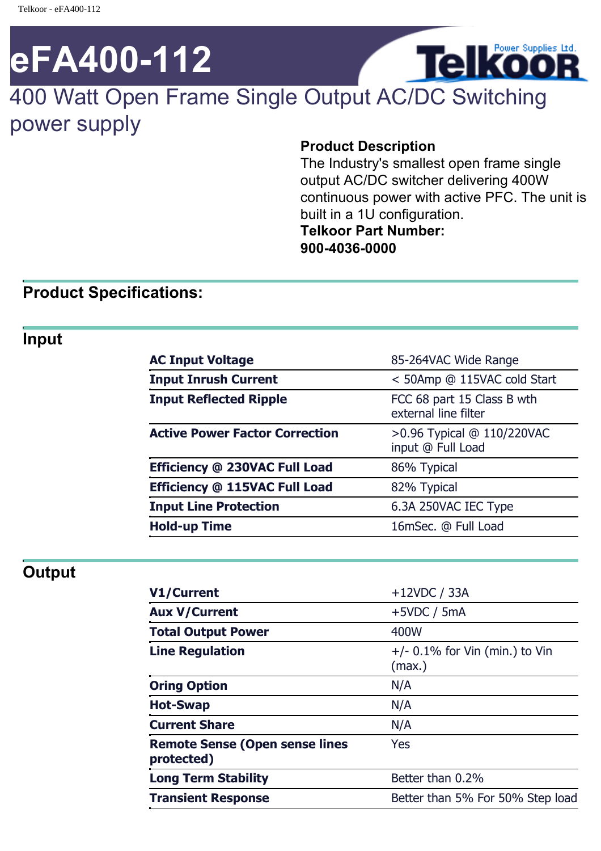# **eFA400-112**

# 400 Watt Open Frame Single Output AC/DC Switching power supply

### **Product Description**

The Industry's smallest open frame single output AC/DC switcher delivering 400W continuous power with active PFC. The unit is built in a 1U configuration. **Telkoor Part Number: 900-4036-0000**

**Telkoor** 

# **Product Specifications:**

## **Input**

| <b>AC Input Voltage</b>               | 85-264VAC Wide Range                               |
|---------------------------------------|----------------------------------------------------|
| <b>Input Inrush Current</b>           | < 50Amp @ 115VAC cold Start                        |
| <b>Input Reflected Ripple</b>         | FCC 68 part 15 Class B wth<br>external line filter |
| <b>Active Power Factor Correction</b> | >0.96 Typical @ 110/220VAC<br>input @ Full Load    |
| Efficiency @ 230VAC Full Load         | 86% Typical                                        |
| Efficiency @ 115VAC Full Load         | 82% Typical                                        |
| <b>Input Line Protection</b>          | 6.3A 250VAC IEC Type                               |
| <b>Hold-up Time</b>                   | 16mSec. @ Full Load                                |

# **Output**

| <b>V1/Current</b>                                   | $+12VDC / 33A$                             |
|-----------------------------------------------------|--------------------------------------------|
| <b>Aux V/Current</b>                                | $+5VDC / 5mA$                              |
| <b>Total Output Power</b>                           | 400W                                       |
| <b>Line Regulation</b>                              | $+/-$ 0.1% for Vin (min.) to Vin<br>(max.) |
| <b>Oring Option</b>                                 | N/A                                        |
| <b>Hot-Swap</b>                                     | N/A                                        |
| <b>Current Share</b>                                | N/A                                        |
| <b>Remote Sense (Open sense lines</b><br>protected) | Yes                                        |
| <b>Long Term Stability</b>                          | Better than 0.2%                           |
| <b>Transient Response</b>                           | Better than 5% For 50% Step load           |
|                                                     |                                            |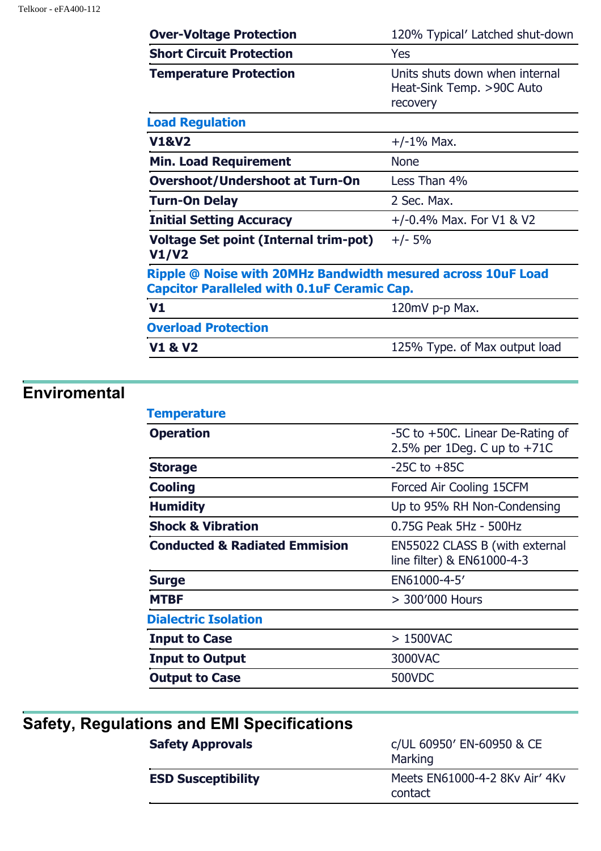#### Telkoor - eFA400-112

| <b>Over-Voltage Protection</b>                                                                                     | 120% Typical' Latched shut-down                                         |
|--------------------------------------------------------------------------------------------------------------------|-------------------------------------------------------------------------|
| <b>Short Circuit Protection</b>                                                                                    | <b>Yes</b>                                                              |
| <b>Temperature Protection</b>                                                                                      | Units shuts down when internal<br>Heat-Sink Temp. >90C Auto<br>recovery |
| <b>Load Regulation</b>                                                                                             |                                                                         |
| <b>V1&amp;V2</b>                                                                                                   | $+/-1\%$ Max.                                                           |
| <b>Min. Load Requirement</b>                                                                                       | <b>None</b>                                                             |
| <b>Overshoot/Undershoot at Turn-On</b>                                                                             | Less Than 4%                                                            |
| <b>Turn-On Delay</b>                                                                                               | 2 Sec. Max.                                                             |
| <b>Initial Setting Accuracy</b>                                                                                    | $+/-0.4\%$ Max. For V1 & V2                                             |
| <b>Voltage Set point (Internal trim-pot)</b><br>V1/V2                                                              | $+/- 5%$                                                                |
| Ripple @ Noise with 20MHz Bandwidth mesured across 10uF Load<br><b>Capcitor Paralleled with 0.1uF Ceramic Cap.</b> |                                                                         |
| V <sub>1</sub>                                                                                                     | 120mV p-p Max.                                                          |
| <b>Overload Protection</b>                                                                                         |                                                                         |
| <b>V1 &amp; V2</b>                                                                                                 | 125% Type. of Max output load                                           |

# **Enviromental**

| <b>Temperature</b>                       |                                                                   |
|------------------------------------------|-------------------------------------------------------------------|
| <b>Operation</b>                         | -5C to +50C. Linear De-Rating of<br>2.5% per 1Deg. C up to $+71C$ |
| <b>Storage</b>                           | $-25C$ to $+85C$                                                  |
| <b>Cooling</b>                           | Forced Air Cooling 15CFM                                          |
| <b>Humidity</b>                          | Up to 95% RH Non-Condensing                                       |
| <b>Shock &amp; Vibration</b>             | 0.75G Peak 5Hz - 500Hz                                            |
| <b>Conducted &amp; Radiated Emmision</b> | EN55022 CLASS B (with external<br>line filter) & EN61000-4-3      |
| <b>Surge</b>                             | EN61000-4-5'                                                      |
| <b>MTBF</b>                              | > 300'000 Hours                                                   |
| <b>Dialectric Isolation</b>              |                                                                   |
| <b>Input to Case</b>                     | $>1500$ VAC                                                       |
| <b>Input to Output</b>                   | 3000VAC                                                           |
| <b>Output to Case</b>                    | 500VDC                                                            |
|                                          |                                                                   |

| Safety, Regulations and EMI Specifications |                                           |
|--------------------------------------------|-------------------------------------------|
| <b>Safety Approvals</b>                    | c/UL 60950' EN-60950 & CE<br>Marking      |
| <b>ESD Susceptibility</b>                  | Meets EN61000-4-2 8Kv Air' 4Kv<br>contact |
|                                            |                                           |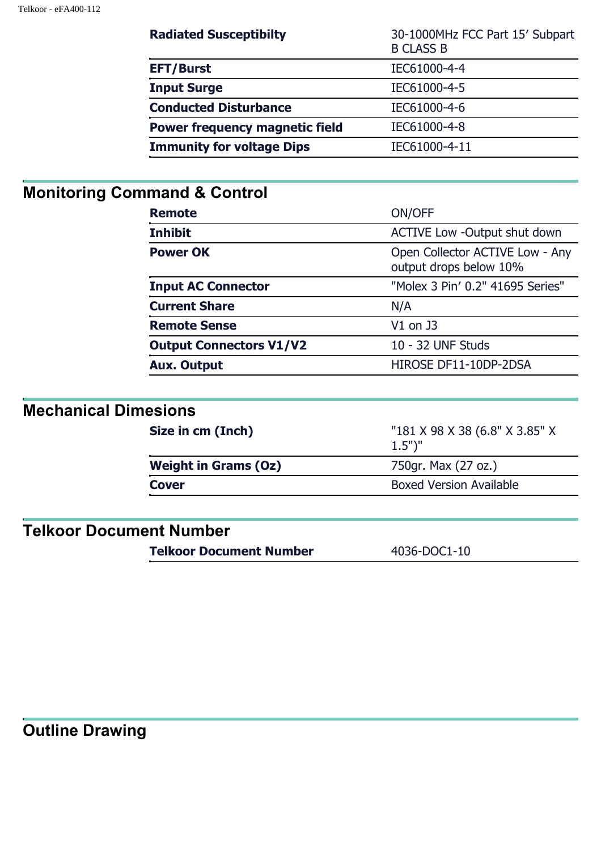| <b>Radiated Susceptibilty</b>         | 30-1000MHz FCC Part 15' Subpart<br><b>B CLASS B</b> |
|---------------------------------------|-----------------------------------------------------|
| <b>EFT/Burst</b>                      | IEC61000-4-4                                        |
| <b>Input Surge</b>                    | IEC61000-4-5                                        |
| <b>Conducted Disturbance</b>          | IEC61000-4-6                                        |
| <b>Power frequency magnetic field</b> | IEC61000-4-8                                        |
| <b>Immunity for voltage Dips</b>      | IEC61000-4-11                                       |

# **Monitoring Command & Control**

| <b>Remote</b>                  | ON/OFF                                                    |
|--------------------------------|-----------------------------------------------------------|
| <b>Inhibit</b>                 | <b>ACTIVE Low -Output shut down</b>                       |
| <b>Power OK</b>                | Open Collector ACTIVE Low - Any<br>output drops below 10% |
| <b>Input AC Connector</b>      | "Molex 3 Pin' 0.2" 41695 Series"                          |
| <b>Current Share</b>           | N/A                                                       |
| <b>Remote Sense</b>            | $V1$ on J3                                                |
| <b>Output Connectors V1/V2</b> | 10 - 32 UNF Studs                                         |
| <b>Aux. Output</b>             | HIROSE DF11-10DP-2DSA                                     |

# **Mechanical Dimesions**

| Size in cm (Inch)           | "181 X 98 X 38 (6.8" X 3.85" X<br>$1.5"$ )" |
|-----------------------------|---------------------------------------------|
| <b>Weight in Grams (Oz)</b> | 750gr. Max (27 oz.)                         |
| <b>Cover</b>                | <b>Boxed Version Available</b>              |
|                             |                                             |

# **Telkoor Document Number**

**Telkoor Document Number** 4036-DOC1-10